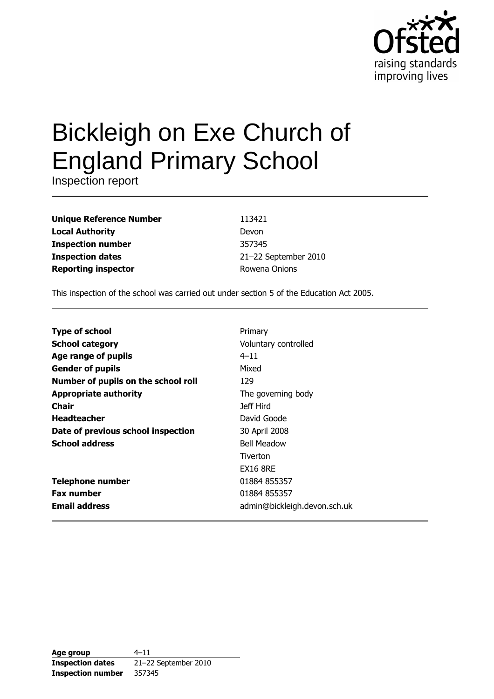

# **Bickleigh on Exe Church of England Primary School**

Inspection report

| <b>Unique Reference Number</b> |
|--------------------------------|
| <b>Local Authority</b>         |
| <b>Inspection number</b>       |
| <b>Inspection dates</b>        |
| <b>Reporting inspector</b>     |

113421 Devon 357345 21-22 September 2010 Rowena Onions

This inspection of the school was carried out under section 5 of the Education Act 2005.

| <b>Type of school</b>               | Primary                      |
|-------------------------------------|------------------------------|
| <b>School category</b>              | Voluntary controlled         |
| <b>Age range of pupils</b>          | $4 - 11$                     |
| <b>Gender of pupils</b>             | Mixed                        |
| Number of pupils on the school roll | 129                          |
| <b>Appropriate authority</b>        | The governing body           |
| <b>Chair</b>                        | Jeff Hird                    |
| <b>Headteacher</b>                  | David Goode                  |
| Date of previous school inspection  | 30 April 2008                |
| <b>School address</b>               | <b>Bell Meadow</b>           |
|                                     | Tiverton                     |
|                                     | <b>EX16 8RE</b>              |
| <b>Telephone number</b>             | 01884 855357                 |
| <b>Fax number</b>                   | 01884 855357                 |
| <b>Email address</b>                | admin@bickleigh.devon.sch.uk |

| Age group                | $4 - 11$             |  |  |  |  |
|--------------------------|----------------------|--|--|--|--|
| <b>Inspection dates</b>  | 21-22 September 2010 |  |  |  |  |
| <b>Inspection number</b> | 357345               |  |  |  |  |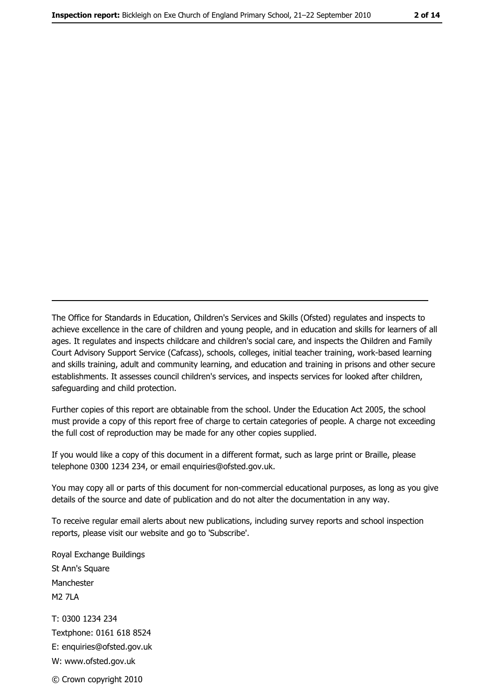The Office for Standards in Education, Children's Services and Skills (Ofsted) regulates and inspects to achieve excellence in the care of children and young people, and in education and skills for learners of all ages. It regulates and inspects childcare and children's social care, and inspects the Children and Family Court Advisory Support Service (Cafcass), schools, colleges, initial teacher training, work-based learning and skills training, adult and community learning, and education and training in prisons and other secure establishments. It assesses council children's services, and inspects services for looked after children, safeguarding and child protection.

Further copies of this report are obtainable from the school. Under the Education Act 2005, the school must provide a copy of this report free of charge to certain categories of people. A charge not exceeding the full cost of reproduction may be made for any other copies supplied.

If you would like a copy of this document in a different format, such as large print or Braille, please telephone 0300 1234 234, or email enquiries@ofsted.gov.uk.

You may copy all or parts of this document for non-commercial educational purposes, as long as you give details of the source and date of publication and do not alter the documentation in any way.

To receive regular email alerts about new publications, including survey reports and school inspection reports, please visit our website and go to 'Subscribe'.

Royal Exchange Buildings St Ann's Square Manchester **M2 7I A** T: 0300 1234 234 Textphone: 0161 618 8524 E: enquiries@ofsted.gov.uk W: www.ofsted.gov.uk © Crown copyright 2010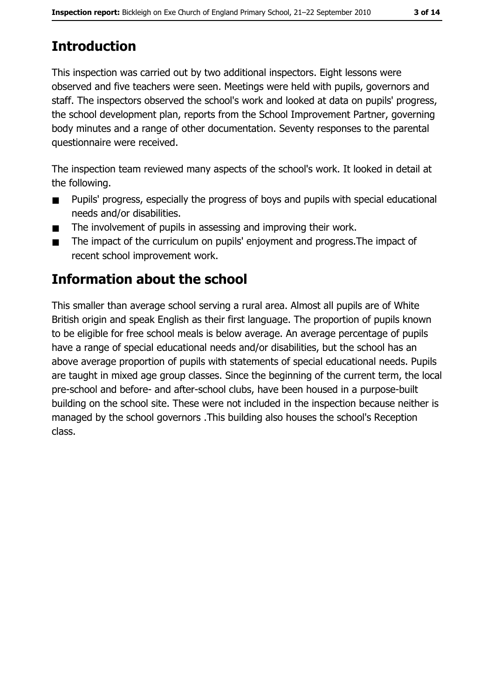# **Introduction**

This inspection was carried out by two additional inspectors. Eight lessons were observed and five teachers were seen. Meetings were held with pupils, governors and staff. The inspectors observed the school's work and looked at data on pupils' progress, the school development plan, reports from the School Improvement Partner, governing body minutes and a range of other documentation. Seventy responses to the parental questionnaire were received.

The inspection team reviewed many aspects of the school's work. It looked in detail at the following.

- Pupils' progress, especially the progress of boys and pupils with special educational  $\blacksquare$ needs and/or disabilities.
- The involvement of pupils in assessing and improving their work.  $\blacksquare$
- The impact of the curriculum on pupils' enjoyment and progress. The impact of  $\blacksquare$ recent school improvement work.

# Information about the school

This smaller than average school serving a rural area. Almost all pupils are of White British origin and speak English as their first language. The proportion of pupils known to be eligible for free school meals is below average. An average percentage of pupils have a range of special educational needs and/or disabilities, but the school has an above average proportion of pupils with statements of special educational needs. Pupils are taught in mixed age group classes. Since the beginning of the current term, the local pre-school and before- and after-school clubs, have been housed in a purpose-built building on the school site. These were not included in the inspection because neither is managed by the school governors . This building also houses the school's Reception class.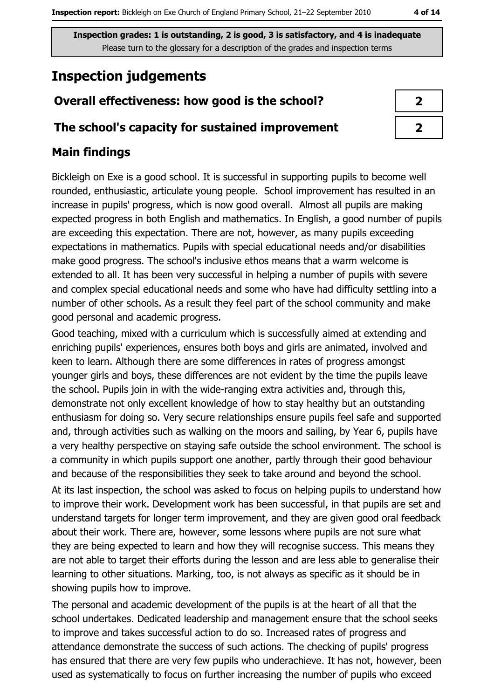# **Inspection judgements**

## Overall effectiveness: how good is the school?

#### The school's capacity for sustained improvement

## **Main findings**

Bickleigh on Exe is a good school. It is successful in supporting pupils to become well rounded, enthusiastic, articulate young people. School improvement has resulted in an increase in pupils' progress, which is now good overall. Almost all pupils are making expected progress in both English and mathematics. In English, a good number of pupils are exceeding this expectation. There are not, however, as many pupils exceeding expectations in mathematics. Pupils with special educational needs and/or disabilities make good progress. The school's inclusive ethos means that a warm welcome is extended to all. It has been very successful in helping a number of pupils with severe and complex special educational needs and some who have had difficulty settling into a number of other schools. As a result they feel part of the school community and make good personal and academic progress.

Good teaching, mixed with a curriculum which is successfully aimed at extending and enriching pupils' experiences, ensures both boys and girls are animated, involved and keen to learn. Although there are some differences in rates of progress amongst younger girls and boys, these differences are not evident by the time the pupils leave the school. Pupils join in with the wide-ranging extra activities and, through this, demonstrate not only excellent knowledge of how to stay healthy but an outstanding enthusiasm for doing so. Very secure relationships ensure pupils feel safe and supported and, through activities such as walking on the moors and sailing, by Year 6, pupils have a very healthy perspective on staying safe outside the school environment. The school is a community in which pupils support one another, partly through their good behaviour and because of the responsibilities they seek to take around and beyond the school. At its last inspection, the school was asked to focus on helping pupils to understand how to improve their work. Development work has been successful, in that pupils are set and understand targets for longer term improvement, and they are given good oral feedback about their work. There are, however, some lessons where pupils are not sure what they are being expected to learn and how they will recognise success. This means they are not able to target their efforts during the lesson and are less able to generalise their learning to other situations. Marking, too, is not always as specific as it should be in showing pupils how to improve.

The personal and academic development of the pupils is at the heart of all that the school undertakes. Dedicated leadership and management ensure that the school seeks to improve and takes successful action to do so. Increased rates of progress and attendance demonstrate the success of such actions. The checking of pupils' progress has ensured that there are very few pupils who underachieve. It has not, however, been used as systematically to focus on further increasing the number of pupils who exceed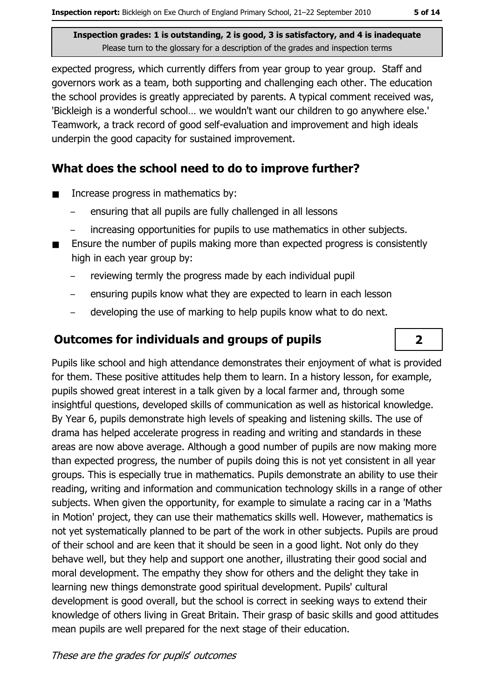expected progress, which currently differs from year group to year group. Staff and governors work as a team, both supporting and challenging each other. The education the school provides is greatly appreciated by parents. A typical comment received was, 'Bickleigh is a wonderful school... we wouldn't want our children to go anywhere else.' Teamwork, a track record of good self-evaluation and improvement and high ideals underpin the good capacity for sustained improvement.

## What does the school need to do to improve further?

- Increase progress in mathematics by:  $\blacksquare$ 
	- ensuring that all pupils are fully challenged in all lessons
	- increasing opportunities for pupils to use mathematics in other subjects.
- Ensure the number of pupils making more than expected progress is consistently high in each year group by:
	- reviewing termly the progress made by each individual pupil
	- ensuring pupils know what they are expected to learn in each lesson
	- developing the use of marking to help pupils know what to do next.

## **Outcomes for individuals and groups of pupils**

Pupils like school and high attendance demonstrates their enjoyment of what is provided for them. These positive attitudes help them to learn. In a history lesson, for example, pupils showed great interest in a talk given by a local farmer and, through some insightful questions, developed skills of communication as well as historical knowledge. By Year 6, pupils demonstrate high levels of speaking and listening skills. The use of drama has helped accelerate progress in reading and writing and standards in these areas are now above average. Although a good number of pupils are now making more than expected progress, the number of pupils doing this is not yet consistent in all year groups. This is especially true in mathematics. Pupils demonstrate an ability to use their reading, writing and information and communication technology skills in a range of other subjects. When given the opportunity, for example to simulate a racing car in a 'Maths' in Motion' project, they can use their mathematics skills well. However, mathematics is not yet systematically planned to be part of the work in other subjects. Pupils are proud of their school and are keen that it should be seen in a good light. Not only do they behave well, but they help and support one another, illustrating their good social and moral development. The empathy they show for others and the delight they take in learning new things demonstrate good spiritual development. Pupils' cultural development is good overall, but the school is correct in seeking ways to extend their knowledge of others living in Great Britain. Their grasp of basic skills and good attitudes mean pupils are well prepared for the next stage of their education.

## $\overline{2}$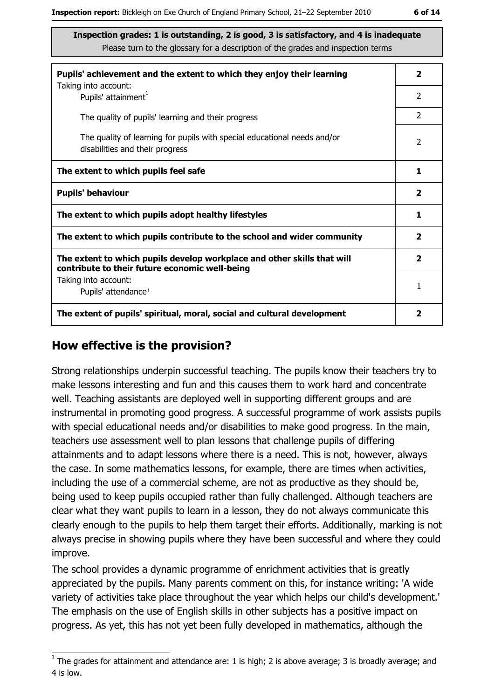| Pupils' achievement and the extent to which they enjoy their learning                                                     |                |  |  |  |
|---------------------------------------------------------------------------------------------------------------------------|----------------|--|--|--|
| Taking into account:<br>Pupils' attainment <sup>1</sup>                                                                   | $\overline{2}$ |  |  |  |
| The quality of pupils' learning and their progress                                                                        | $\overline{2}$ |  |  |  |
| The quality of learning for pupils with special educational needs and/or<br>disabilities and their progress               |                |  |  |  |
| The extent to which pupils feel safe                                                                                      |                |  |  |  |
| <b>Pupils' behaviour</b>                                                                                                  |                |  |  |  |
| The extent to which pupils adopt healthy lifestyles                                                                       |                |  |  |  |
| The extent to which pupils contribute to the school and wider community                                                   |                |  |  |  |
| The extent to which pupils develop workplace and other skills that will<br>contribute to their future economic well-being |                |  |  |  |
| Taking into account:<br>Pupils' attendance <sup>1</sup>                                                                   | 1              |  |  |  |
| The extent of pupils' spiritual, moral, social and cultural development                                                   |                |  |  |  |

#### How effective is the provision?

Strong relationships underpin successful teaching. The pupils know their teachers try to make lessons interesting and fun and this causes them to work hard and concentrate well. Teaching assistants are deployed well in supporting different groups and are instrumental in promoting good progress. A successful programme of work assists pupils with special educational needs and/or disabilities to make good progress. In the main, teachers use assessment well to plan lessons that challenge pupils of differing attainments and to adapt lessons where there is a need. This is not, however, always the case. In some mathematics lessons, for example, there are times when activities, including the use of a commercial scheme, are not as productive as they should be, being used to keep pupils occupied rather than fully challenged. Although teachers are clear what they want pupils to learn in a lesson, they do not always communicate this clearly enough to the pupils to help them target their efforts. Additionally, marking is not always precise in showing pupils where they have been successful and where they could improve.

The school provides a dynamic programme of enrichment activities that is greatly appreciated by the pupils. Many parents comment on this, for instance writing: 'A wide variety of activities take place throughout the year which helps our child's development. The emphasis on the use of English skills in other subjects has a positive impact on progress. As yet, this has not yet been fully developed in mathematics, although the

 $1$  The arades for attainment and attendance are: 1 is high; 2 is above average; 3 is broadly average; and 4 is low.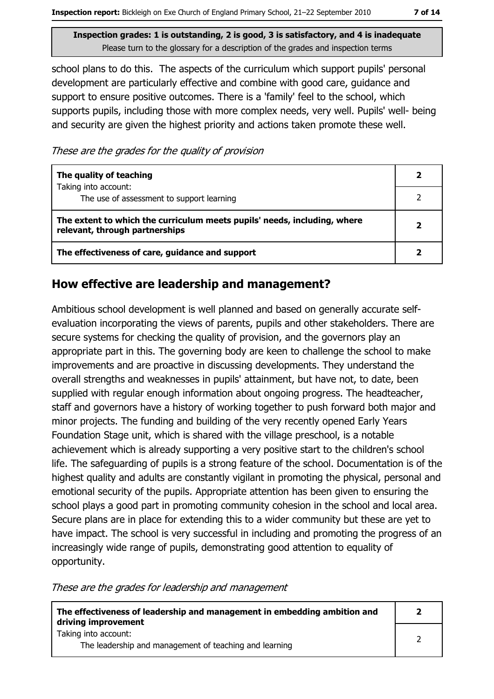school plans to do this. The aspects of the curriculum which support pupils' personal development are particularly effective and combine with good care, guidance and support to ensure positive outcomes. There is a 'family' feel to the school, which supports pupils, including those with more complex needs, very well. Pupils' well- being and security are given the highest priority and actions taken promote these well.

These are the grades for the quality of provision

| The quality of teaching                                                                                    |  |  |  |
|------------------------------------------------------------------------------------------------------------|--|--|--|
| Taking into account:<br>The use of assessment to support learning                                          |  |  |  |
| The extent to which the curriculum meets pupils' needs, including, where<br>relevant, through partnerships |  |  |  |
| The effectiveness of care, guidance and support                                                            |  |  |  |

#### How effective are leadership and management?

Ambitious school development is well planned and based on generally accurate selfevaluation incorporating the views of parents, pupils and other stakeholders. There are secure systems for checking the quality of provision, and the governors play an appropriate part in this. The governing body are keen to challenge the school to make improvements and are proactive in discussing developments. They understand the overall strengths and weaknesses in pupils' attainment, but have not, to date, been supplied with regular enough information about ongoing progress. The headteacher, staff and governors have a history of working together to push forward both major and minor projects. The funding and building of the very recently opened Early Years Foundation Stage unit, which is shared with the village preschool, is a notable achievement which is already supporting a very positive start to the children's school life. The safeguarding of pupils is a strong feature of the school. Documentation is of the highest quality and adults are constantly vigilant in promoting the physical, personal and emotional security of the pupils. Appropriate attention has been given to ensuring the school plays a good part in promoting community cohesion in the school and local area. Secure plans are in place for extending this to a wider community but these are yet to have impact. The school is very successful in including and promoting the progress of an increasingly wide range of pupils, demonstrating good attention to equality of opportunity.

These are the grades for leadership and management

| The effectiveness of leadership and management in embedding ambition and<br>driving improvement |  |  |
|-------------------------------------------------------------------------------------------------|--|--|
| Taking into account:<br>The leadership and management of teaching and learning                  |  |  |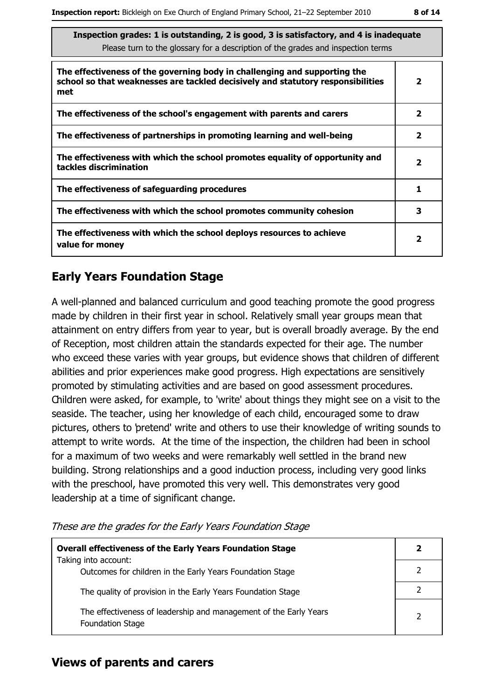| Inspection grades: 1 is outstanding, 2 is good, 3 is satisfactory, and 4 is inadequate |
|----------------------------------------------------------------------------------------|
| Please turn to the glossary for a description of the grades and inspection terms       |

| The effectiveness of the governing body in challenging and supporting the<br>school so that weaknesses are tackled decisively and statutory responsibilities<br>met |                         |  |  |  |
|---------------------------------------------------------------------------------------------------------------------------------------------------------------------|-------------------------|--|--|--|
| The effectiveness of the school's engagement with parents and carers                                                                                                | $\overline{\mathbf{2}}$ |  |  |  |
| The effectiveness of partnerships in promoting learning and well-being                                                                                              | $\mathbf{2}$            |  |  |  |
| The effectiveness with which the school promotes equality of opportunity and<br>tackles discrimination                                                              | 2                       |  |  |  |
| The effectiveness of safeguarding procedures                                                                                                                        |                         |  |  |  |
| The effectiveness with which the school promotes community cohesion                                                                                                 | 3                       |  |  |  |
| The effectiveness with which the school deploys resources to achieve<br>value for money                                                                             |                         |  |  |  |

#### **Early Years Foundation Stage**

A well-planned and balanced curriculum and good teaching promote the good progress made by children in their first year in school. Relatively small year groups mean that attainment on entry differs from year to year, but is overall broadly average. By the end of Reception, most children attain the standards expected for their age. The number who exceed these varies with year groups, but evidence shows that children of different abilities and prior experiences make good progress. High expectations are sensitively promoted by stimulating activities and are based on good assessment procedures. Children were asked, for example, to 'write' about things they might see on a visit to the seaside. The teacher, using her knowledge of each child, encouraged some to draw pictures, others to 'pretend' write and others to use their knowledge of writing sounds to attempt to write words. At the time of the inspection, the children had been in school for a maximum of two weeks and were remarkably well settled in the brand new building. Strong relationships and a good induction process, including very good links with the preschool, have promoted this very well. This demonstrates very good leadership at a time of significant change.

|  |  |  | These are the grades for the Early Years Foundation Stage |
|--|--|--|-----------------------------------------------------------|
|  |  |  |                                                           |

| <b>Overall effectiveness of the Early Years Foundation Stage</b><br>Taking into account:     |  |
|----------------------------------------------------------------------------------------------|--|
| Outcomes for children in the Early Years Foundation Stage                                    |  |
| The quality of provision in the Early Years Foundation Stage                                 |  |
| The effectiveness of leadership and management of the Early Years<br><b>Foundation Stage</b> |  |

#### **Views of parents and carers**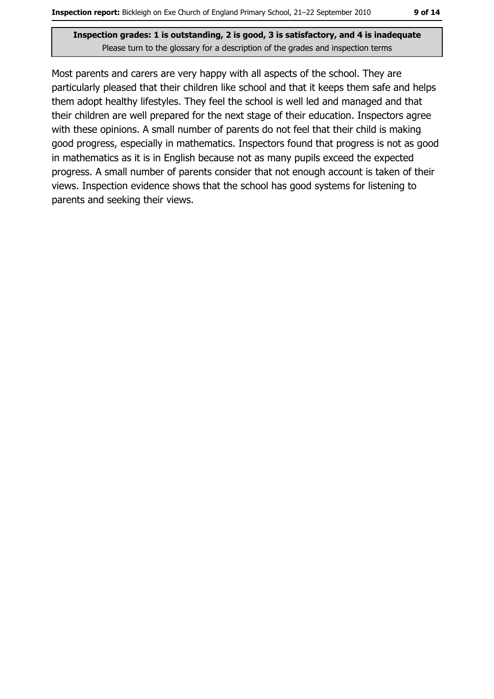Most parents and carers are very happy with all aspects of the school. They are particularly pleased that their children like school and that it keeps them safe and helps them adopt healthy lifestyles. They feel the school is well led and managed and that their children are well prepared for the next stage of their education. Inspectors agree with these opinions. A small number of parents do not feel that their child is making good progress, especially in mathematics. Inspectors found that progress is not as good in mathematics as it is in English because not as many pupils exceed the expected progress. A small number of parents consider that not enough account is taken of their views. Inspection evidence shows that the school has good systems for listening to parents and seeking their views.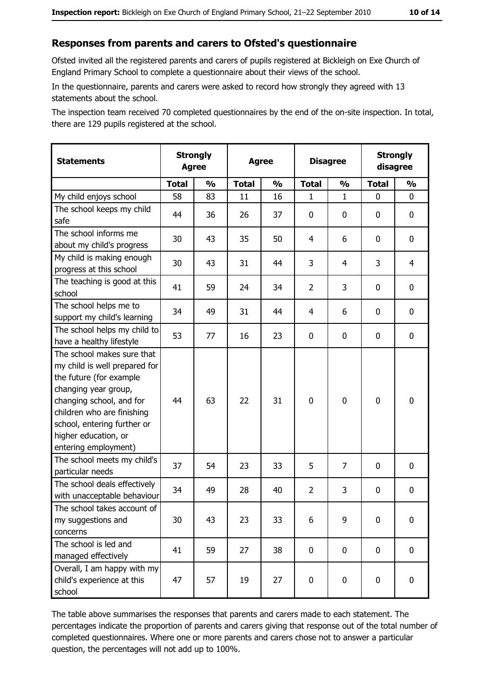#### Responses from parents and carers to Ofsted's questionnaire

Ofsted invited all the registered parents and carers of pupils registered at Bickleigh on Exe Church of England Primary School to complete a questionnaire about their views of the school.

In the questionnaire, parents and carers were asked to record how strongly they agreed with 13 statements about the school.

The inspection team received 70 completed questionnaires by the end of the on-site inspection. In total, there are 129 pupils registered at the school.

| <b>Statements</b>                                                                                                                                                                                                                                       | <b>Strongly</b><br><b>Agree</b> |               | <b>Disagree</b><br><b>Agree</b> |               |                |               | <b>Strongly</b><br>disagree |               |
|---------------------------------------------------------------------------------------------------------------------------------------------------------------------------------------------------------------------------------------------------------|---------------------------------|---------------|---------------------------------|---------------|----------------|---------------|-----------------------------|---------------|
|                                                                                                                                                                                                                                                         | <b>Total</b>                    | $\frac{1}{2}$ | <b>Total</b>                    | $\frac{0}{0}$ | <b>Total</b>   | $\frac{0}{0}$ | <b>Total</b>                | $\frac{9}{6}$ |
| My child enjoys school                                                                                                                                                                                                                                  | 58                              | 83            | 11                              | 16            | 1              | $\mathbf 1$   | $\Omega$                    | 0             |
| The school keeps my child<br>safe                                                                                                                                                                                                                       | 44                              | 36            | 26                              | 37            | $\mathbf 0$    | 0             | $\mathbf{0}$                | 0             |
| The school informs me<br>about my child's progress                                                                                                                                                                                                      | 30                              | 43            | 35                              | 50            | 4              | 6             | 0                           | 0             |
| My child is making enough<br>progress at this school                                                                                                                                                                                                    | 30                              | 43            | 31                              | 44            | 3              | 4             | 3                           | 4             |
| The teaching is good at this<br>school                                                                                                                                                                                                                  | 41                              | 59            | 24                              | 34            | $\overline{2}$ | 3             | 0                           | 0             |
| The school helps me to<br>support my child's learning                                                                                                                                                                                                   | 34                              | 49            | 31                              | 44            | 4              | 6             | 0                           | 0             |
| The school helps my child to<br>have a healthy lifestyle                                                                                                                                                                                                | 53                              | 77            | 16                              | 23            | $\mathbf 0$    | 0             | 0                           | 0             |
| The school makes sure that<br>my child is well prepared for<br>the future (for example<br>changing year group,<br>changing school, and for<br>children who are finishing<br>school, entering further or<br>higher education, or<br>entering employment) | 44                              | 63            | 22                              | 31            | $\mathbf 0$    | 0             | $\mathbf 0$                 | 0             |
| The school meets my child's<br>particular needs                                                                                                                                                                                                         | 37                              | 54            | 23                              | 33            | 5              | 7             | 0                           | 0             |
| The school deals effectively<br>with unacceptable behaviour                                                                                                                                                                                             | 34                              | 49            | 28                              | 40            | $\overline{2}$ | 3             | 0                           | 0             |
| The school takes account of<br>my suggestions and<br>concerns                                                                                                                                                                                           | 30                              | 43            | 23                              | 33            | 6              | 9             | 0                           | 0             |
| The school is led and<br>managed effectively                                                                                                                                                                                                            | 41                              | 59            | 27                              | 38            | $\mathbf 0$    | 0             | 0                           | $\mathbf 0$   |
| Overall, I am happy with my<br>child's experience at this<br>school                                                                                                                                                                                     | 47                              | 57            | 19                              | 27            | $\mathbf 0$    | 0             | $\mathbf 0$                 | 0             |

The table above summarises the responses that parents and carers made to each statement. The percentages indicate the proportion of parents and carers giving that response out of the total number of completed questionnaires. Where one or more parents and carers chose not to answer a particular question, the percentages will not add up to 100%.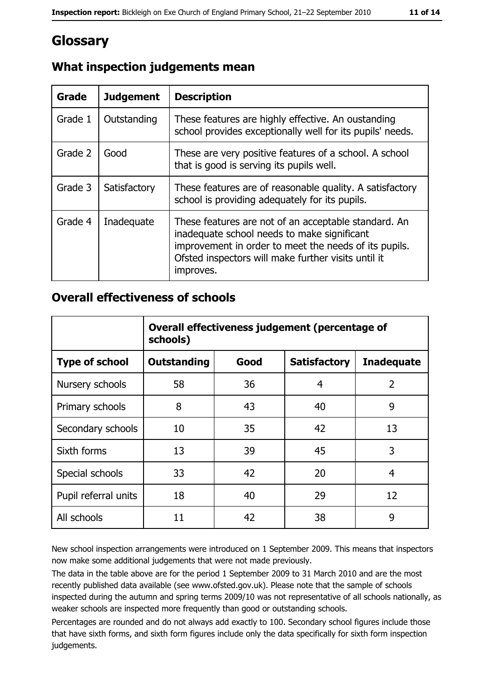# Glossary

| <b>Grade</b> | <b>Judgement</b> | <b>Description</b>                                                                                                                                                                                                               |
|--------------|------------------|----------------------------------------------------------------------------------------------------------------------------------------------------------------------------------------------------------------------------------|
| Grade 1      | Outstanding      | These features are highly effective. An oustanding<br>school provides exceptionally well for its pupils' needs.                                                                                                                  |
| Grade 2      | Good             | These are very positive features of a school. A school<br>that is good is serving its pupils well.                                                                                                                               |
| Grade 3      | Satisfactory     | These features are of reasonable quality. A satisfactory<br>school is providing adequately for its pupils.                                                                                                                       |
| Grade 4      | Inadequate       | These features are not of an acceptable standard. An<br>inadequate school needs to make significant<br>improvement in order to meet the needs of its pupils.<br>Ofsted inspectors will make further visits until it<br>improves. |

## What inspection judgements mean

#### **Overall effectiveness of schools**

|                       | Overall effectiveness judgement (percentage of<br>schools) |      |                     |                   |  |  |
|-----------------------|------------------------------------------------------------|------|---------------------|-------------------|--|--|
| <b>Type of school</b> | <b>Outstanding</b>                                         | Good | <b>Satisfactory</b> | <b>Inadequate</b> |  |  |
| Nursery schools       | 58                                                         | 36   | 4                   | $\overline{2}$    |  |  |
| Primary schools       | 8                                                          | 43   | 40                  | 9                 |  |  |
| Secondary schools     | 10                                                         | 35   | 42                  | 13                |  |  |
| Sixth forms           | 13                                                         | 39   | 45                  | 3                 |  |  |
| Special schools       | 33                                                         | 42   | 20                  | 4                 |  |  |
| Pupil referral units  | 18                                                         | 40   | 29                  | 12                |  |  |
| All schools           | 11                                                         | 42   | 38                  | 9                 |  |  |

New school inspection arrangements were introduced on 1 September 2009. This means that inspectors now make some additional judgements that were not made previously.

The data in the table above are for the period 1 September 2009 to 31 March 2010 and are the most recently published data available (see www.ofsted.gov.uk). Please note that the sample of schools inspected during the autumn and spring terms 2009/10 was not representative of all schools nationally, as weaker schools are inspected more frequently than good or outstanding schools.

Percentages are rounded and do not always add exactly to 100. Secondary school figures include those that have sixth forms, and sixth form figures include only the data specifically for sixth form inspection judgements.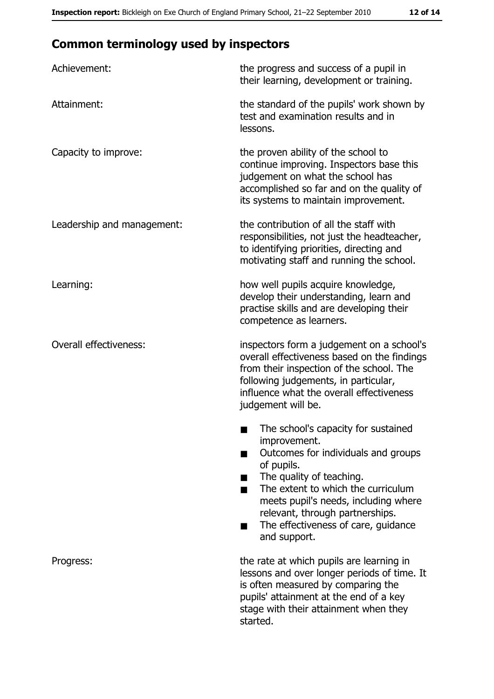# **Common terminology used by inspectors**

| Achievement:                  | the progress and success of a pupil in<br>their learning, development or training.                                                                                                                                                                                                                           |  |  |
|-------------------------------|--------------------------------------------------------------------------------------------------------------------------------------------------------------------------------------------------------------------------------------------------------------------------------------------------------------|--|--|
| Attainment:                   | the standard of the pupils' work shown by<br>test and examination results and in<br>lessons.                                                                                                                                                                                                                 |  |  |
| Capacity to improve:          | the proven ability of the school to<br>continue improving. Inspectors base this<br>judgement on what the school has<br>accomplished so far and on the quality of<br>its systems to maintain improvement.                                                                                                     |  |  |
| Leadership and management:    | the contribution of all the staff with<br>responsibilities, not just the headteacher,<br>to identifying priorities, directing and<br>motivating staff and running the school.                                                                                                                                |  |  |
| Learning:                     | how well pupils acquire knowledge,<br>develop their understanding, learn and<br>practise skills and are developing their<br>competence as learners.                                                                                                                                                          |  |  |
| <b>Overall effectiveness:</b> | inspectors form a judgement on a school's<br>overall effectiveness based on the findings<br>from their inspection of the school. The<br>following judgements, in particular,<br>influence what the overall effectiveness<br>judgement will be.                                                               |  |  |
|                               | The school's capacity for sustained<br>improvement.<br>Outcomes for individuals and groups<br>of pupils.<br>The quality of teaching.<br>The extent to which the curriculum<br>meets pupil's needs, including where<br>relevant, through partnerships.<br>The effectiveness of care, guidance<br>and support. |  |  |
| Progress:                     | the rate at which pupils are learning in<br>lessons and over longer periods of time. It<br>is often measured by comparing the<br>pupils' attainment at the end of a key<br>stage with their attainment when they<br>started.                                                                                 |  |  |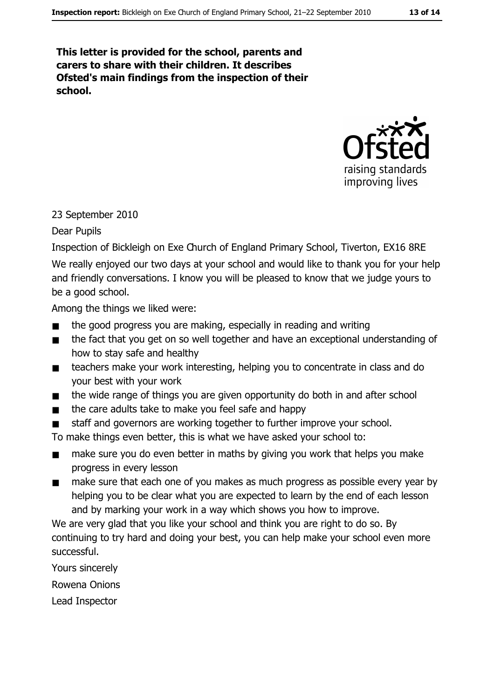#### This letter is provided for the school, parents and carers to share with their children. It describes Ofsted's main findings from the inspection of their school.



#### 23 September 2010

#### Dear Pupils

Inspection of Bickleigh on Exe Church of England Primary School, Tiverton, EX16 8RE We really enjoyed our two days at your school and would like to thank you for your help and friendly conversations. I know you will be pleased to know that we judge yours to be a good school.

Among the things we liked were:

- the good progress you are making, especially in reading and writing
- the fact that you get on so well together and have an exceptional understanding of  $\blacksquare$ how to stay safe and healthy
- teachers make your work interesting, helping you to concentrate in class and do  $\blacksquare$ your best with your work
- the wide range of things you are given opportunity do both in and after school  $\blacksquare$
- the care adults take to make you feel safe and happy  $\blacksquare$
- staff and governors are working together to further improve your school.  $\blacksquare$

To make things even better, this is what we have asked your school to:

- make sure you do even better in maths by giving you work that helps you make  $\blacksquare$ progress in every lesson
- make sure that each one of you makes as much progress as possible every year by  $\blacksquare$ helping you to be clear what you are expected to learn by the end of each lesson and by marking your work in a way which shows you how to improve.

We are very glad that you like your school and think you are right to do so. By continuing to try hard and doing your best, you can help make your school even more successful.

Yours sincerely

Rowena Onions

Lead Inspector